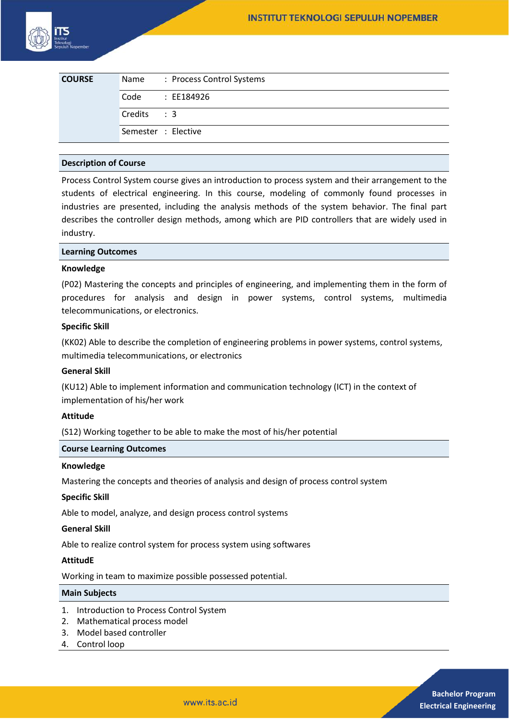

| <b>COURSE</b> |                     | Name: Process Control Systems |
|---------------|---------------------|-------------------------------|
|               | Code                | : EE184926                    |
|               | $Credits$ : 3       |                               |
|               | Semester : Elective |                               |

# **Description of Course**

Process Control System course gives an introduction to process system and their arrangement to the students of electrical engineering. In this course, modeling of commonly found processes in industries are presented, including the analysis methods of the system behavior. The final part describes the controller design methods, among which are PID controllers that are widely used in industry.

### **Learning Outcomes**

### **Knowledge**

(P02) Mastering the concepts and principles of engineering, and implementing them in the form of procedures for analysis and design in power systems, control systems, multimedia telecommunications, or electronics.

# **Specific Skill**

(KK02) Able to describe the completion of engineering problems in power systems, control systems, multimedia telecommunications, or electronics

### **General Skill**

(KU12) Able to implement information and communication technology (ICT) in the context of implementation of his/her work

### **Attitude**

(S12) Working together to be able to make the most of his/her potential

# **Course Learning Outcomes**

# **Knowledge**

Mastering the concepts and theories of analysis and design of process control system

### **Specific Skill**

Able to model, analyze, and design process control systems

### **General Skill**

Able to realize control system for process system using softwares

### **AttitudE**

Working in team to maximize possible possessed potential.

### **Main Subjects**

- 1. Introduction to Process Control System
- 2. Mathematical process model
- 3. Model based controller
- 4. Control loop